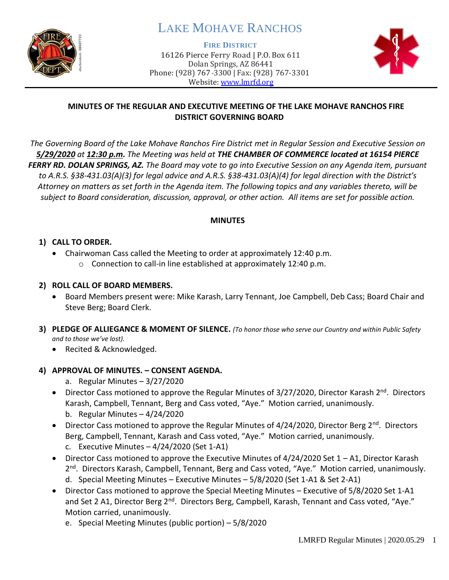

# LAKE MOHAVE RANCHOS

**FIRE DISTRICT**

16126 Pierce Ferry Road | P.O. Box 611 Dolan Springs, AZ 86441 Phone: (928) 767-3300 | Fax: (928) 767-3301 Website: [www.lmrfd.org](http://www.lmrfd.org/)



## **MINUTES OF THE REGULAR AND EXECUTIVE MEETING OF THE LAKE MOHAVE RANCHOS FIRE DISTRICT GOVERNING BOARD**

*The Governing Board of the Lake Mohave Ranchos Fire District met in Regular Session and Executive Session on 5/29/2020 at 12:30 p.m. The Meeting was held at THE CHAMBER OF COMMERCE located at 16154 PIERCE FERRY RD. DOLAN SPRINGS, AZ. The Board may vote to go into Executive Session on any Agenda item, pursuant to A.R.S. §38-431.03(A)(3) for legal advice and A.R.S. §38-431.03(A)(4) for legal direction with the District's Attorney on matters as set forth in the Agenda item. The following topics and any variables thereto, will be subject to Board consideration, discussion, approval, or other action. All items are set for possible action.* 

#### **MINUTES**

# **1) CALL TO ORDER.**

- Chairwoman Cass called the Meeting to order at approximately 12:40 p.m.
	- o Connection to call-in line established at approximately 12:40 p.m.

# **2) ROLL CALL OF BOARD MEMBERS.**

- Board Members present were: Mike Karash, Larry Tennant, Joe Campbell, Deb Cass; Board Chair and Steve Berg; Board Clerk.
- **3) PLEDGE OF ALLIEGANCE & MOMENT OF SILENCE.** *(To honor those who serve our Country and within Public Safety and to those we've lost).*
	- Recited & Acknowledged.

# **4) APPROVAL OF MINUTES. – CONSENT AGENDA.**

- a. Regular Minutes 3/27/2020
- Director Cass motioned to approve the Regular Minutes of 3/27/2020, Director Karash 2<sup>nd</sup>. Directors Karash, Campbell, Tennant, Berg and Cass voted, "Aye." Motion carried, unanimously. b. Regular Minutes – 4/24/2020
- Director Cass motioned to approve the Regular Minutes of 4/24/2020, Director Berg 2<sup>nd</sup>. Directors Berg, Campbell, Tennant, Karash and Cass voted, "Aye." Motion carried, unanimously. c. Executive Minutes  $-4/24/2020$  (Set 1-A1)
- Director Cass motioned to approve the Executive Minutes of  $4/24/2020$  Set  $1 A1$ , Director Karash 2<sup>nd</sup>. Directors Karash, Campbell, Tennant, Berg and Cass voted, "Aye." Motion carried, unanimously. d. Special Meeting Minutes – Executive Minutes – 5/8/2020 (Set 1-A1 & Set 2-A1)
- Director Cass motioned to approve the Special Meeting Minutes Executive of 5/8/2020 Set 1-A1 and Set 2 A1, Director Berg 2<sup>nd</sup>. Directors Berg, Campbell, Karash, Tennant and Cass voted, "Aye." Motion carried, unanimously.
	- e. Special Meeting Minutes (public portion) 5/8/2020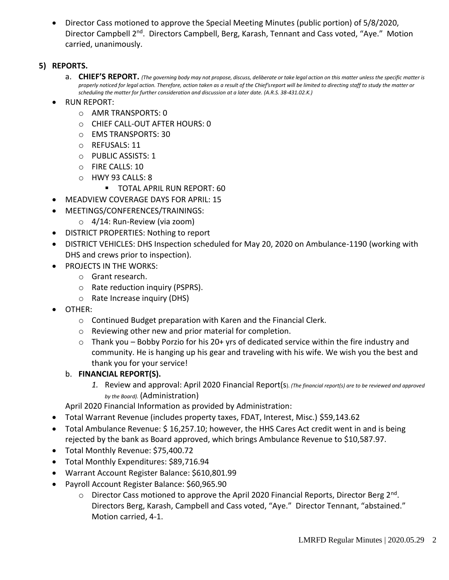• Director Cass motioned to approve the Special Meeting Minutes (public portion) of 5/8/2020, Director Campbell 2<sup>nd</sup>. Directors Campbell, Berg, Karash, Tennant and Cass voted, "Aye." Motion carried, unanimously.

# **5) REPORTS.**

- a. CHIEF'S REPORT. (The governing body may not propose, discuss, deliberate or take legal action on this matter unless the specific matter is *properly noticed for legal action. Therefore, action taken as a result of the Chief's report will be limited to directing staff to study the matter or scheduling the matter for further consideration and discussion at a later date. (A.R.S. 38-431.02.K.)*
- RUN REPORT:
	- o AMR TRANSPORTS: 0
	- o CHIEF CALL-OUT AFTER HOURS: 0
	- o EMS TRANSPORTS: 30
	- o REFUSALS: 11
	- o PUBLIC ASSISTS: 1
	- o FIRE CALLS: 10
	- o HWY 93 CALLS: 8
		- **TOTAL APRIL RUN REPORT: 60**
- MEADVIEW COVERAGE DAYS FOR APRIL: 15
- MEETINGS/CONFERENCES/TRAININGS:
	- o 4/14: Run-Review (via zoom)
- DISTRICT PROPERTIES: Nothing to report
- DISTRICT VEHICLES: DHS Inspection scheduled for May 20, 2020 on Ambulance-1190 (working with DHS and crews prior to inspection).
- PROJECTS IN THE WORKS:
	- o Grant research.
	- o Rate reduction inquiry (PSPRS).
	- o Rate Increase inquiry (DHS)
- OTHER:
	- o Continued Budget preparation with Karen and the Financial Clerk.
	- o Reviewing other new and prior material for completion.
	- $\circ$  Thank you Bobby Porzio for his 20+ yrs of dedicated service within the fire industry and community. He is hanging up his gear and traveling with his wife. We wish you the best and thank you for your service!

#### b. **FINANCIAL REPORT(S).**

*1.* Review and approval: April 2020 Financial Report(s). *(The financial report(s) are to be reviewed and approved by the Board).* (Administration)

April 2020 Financial Information as provided by Administration:

- Total Warrant Revenue (includes property taxes, FDAT, Interest, Misc.) \$59,143.62
- Total Ambulance Revenue: \$16,257.10; however, the HHS Cares Act credit went in and is being rejected by the bank as Board approved, which brings Ambulance Revenue to \$10,587.97.
- Total Monthly Revenue: \$75,400.72
- Total Monthly Expenditures: \$89,716.94
- Warrant Account Register Balance: \$610,801.99
- Payroll Account Register Balance: \$60,965.90
	- o Director Cass motioned to approve the April 2020 Financial Reports, Director Berg 2<sup>nd</sup>. Directors Berg, Karash, Campbell and Cass voted, "Aye." Director Tennant, "abstained." Motion carried, 4-1.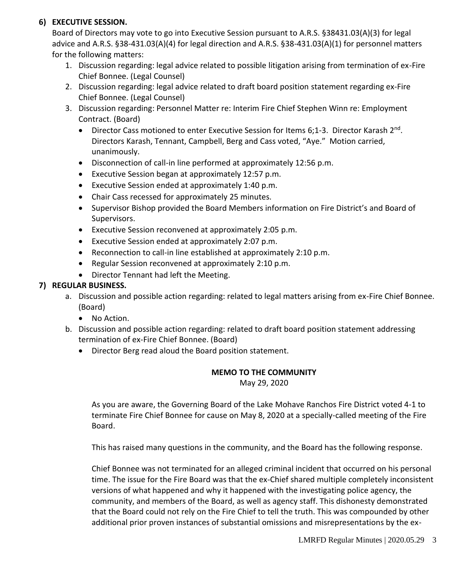# **6) EXECUTIVE SESSION.**

Board of Directors may vote to go into Executive Session pursuant to A.R.S. §38431.03(A)(3) for legal advice and A.R.S. §38-431.03(A)(4) for legal direction and A.R.S. §38-431.03(A)(1) for personnel matters for the following matters:

- 1. Discussion regarding: legal advice related to possible litigation arising from termination of ex-Fire Chief Bonnee. (Legal Counsel)
- 2. Discussion regarding: legal advice related to draft board position statement regarding ex-Fire Chief Bonnee. (Legal Counsel)
- 3. Discussion regarding: Personnel Matter re: Interim Fire Chief Stephen Winn re: Employment Contract. (Board)
	- Director Cass motioned to enter Executive Session for Items 6;1-3. Director Karash 2<sup>nd</sup>. Directors Karash, Tennant, Campbell, Berg and Cass voted, "Aye." Motion carried, unanimously.
	- Disconnection of call-in line performed at approximately 12:56 p.m.
	- Executive Session began at approximately 12:57 p.m.
	- Executive Session ended at approximately 1:40 p.m.
	- Chair Cass recessed for approximately 25 minutes.
	- Supervisor Bishop provided the Board Members information on Fire District's and Board of Supervisors.
	- Executive Session reconvened at approximately 2:05 p.m.
	- Executive Session ended at approximately 2:07 p.m.
	- Reconnection to call-in line established at approximately 2:10 p.m.
	- Regular Session reconvened at approximately 2:10 p.m.
	- Director Tennant had left the Meeting.

# **7) REGULAR BUSINESS.**

- a. Discussion and possible action regarding: related to legal matters arising from ex-Fire Chief Bonnee. (Board)
	- No Action.
- b. Discussion and possible action regarding: related to draft board position statement addressing termination of ex-Fire Chief Bonnee. (Board)
	- Director Berg read aloud the Board position statement.

#### **MEMO TO THE COMMUNITY**

May 29, 2020

As you are aware, the Governing Board of the Lake Mohave Ranchos Fire District voted 4-1 to terminate Fire Chief Bonnee for cause on May 8, 2020 at a specially-called meeting of the Fire Board.

This has raised many questions in the community, and the Board has the following response.

Chief Bonnee was not terminated for an alleged criminal incident that occurred on his personal time. The issue for the Fire Board was that the ex-Chief shared multiple completely inconsistent versions of what happened and why it happened with the investigating police agency, the community, and members of the Board, as well as agency staff. This dishonesty demonstrated that the Board could not rely on the Fire Chief to tell the truth. This was compounded by other additional prior proven instances of substantial omissions and misrepresentations by the ex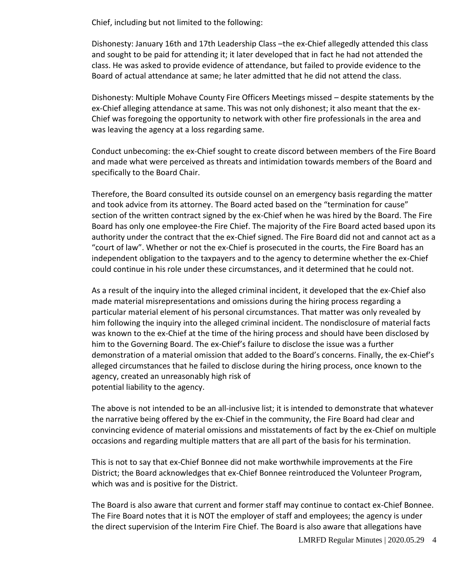Chief, including but not limited to the following:

Dishonesty: January 16th and 17th Leadership Class –the ex-Chief allegedly attended this class and sought to be paid for attending it; it later developed that in fact he had not attended the class. He was asked to provide evidence of attendance, but failed to provide evidence to the Board of actual attendance at same; he later admitted that he did not attend the class.

Dishonesty: Multiple Mohave County Fire Officers Meetings missed – despite statements by the ex-Chief alleging attendance at same. This was not only dishonest; it also meant that the ex-Chief was foregoing the opportunity to network with other fire professionals in the area and was leaving the agency at a loss regarding same.

Conduct unbecoming: the ex-Chief sought to create discord between members of the Fire Board and made what were perceived as threats and intimidation towards members of the Board and specifically to the Board Chair.

Therefore, the Board consulted its outside counsel on an emergency basis regarding the matter and took advice from its attorney. The Board acted based on the "termination for cause" section of the written contract signed by the ex-Chief when he was hired by the Board. The Fire Board has only one employee-the Fire Chief. The majority of the Fire Board acted based upon its authority under the contract that the ex-Chief signed. The Fire Board did not and cannot act as a "court of law". Whether or not the ex-Chief is prosecuted in the courts, the Fire Board has an independent obligation to the taxpayers and to the agency to determine whether the ex-Chief could continue in his role under these circumstances, and it determined that he could not.

As a result of the inquiry into the alleged criminal incident, it developed that the ex-Chief also made material misrepresentations and omissions during the hiring process regarding a particular material element of his personal circumstances. That matter was only revealed by him following the inquiry into the alleged criminal incident. The nondisclosure of material facts was known to the ex-Chief at the time of the hiring process and should have been disclosed by him to the Governing Board. The ex-Chief's failure to disclose the issue was a further demonstration of a material omission that added to the Board's concerns. Finally, the ex-Chief's alleged circumstances that he failed to disclose during the hiring process, once known to the agency, created an unreasonably high risk of potential liability to the agency.

The above is not intended to be an all-inclusive list; it is intended to demonstrate that whatever the narrative being offered by the ex-Chief in the community, the Fire Board had clear and convincing evidence of material omissions and misstatements of fact by the ex-Chief on multiple occasions and regarding multiple matters that are all part of the basis for his termination.

This is not to say that ex-Chief Bonnee did not make worthwhile improvements at the Fire District; the Board acknowledges that ex-Chief Bonnee reintroduced the Volunteer Program, which was and is positive for the District.

The Board is also aware that current and former staff may continue to contact ex-Chief Bonnee. The Fire Board notes that it is NOT the employer of staff and employees; the agency is under the direct supervision of the Interim Fire Chief. The Board is also aware that allegations have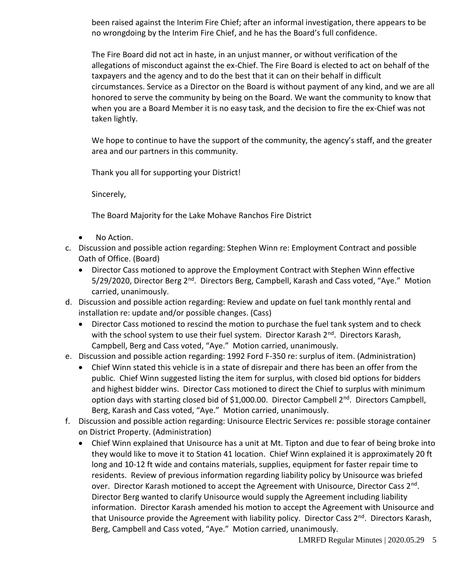been raised against the Interim Fire Chief; after an informal investigation, there appears to be no wrongdoing by the Interim Fire Chief, and he has the Board's full confidence.

The Fire Board did not act in haste, in an unjust manner, or without verification of the allegations of misconduct against the ex-Chief. The Fire Board is elected to act on behalf of the taxpayers and the agency and to do the best that it can on their behalf in difficult circumstances. Service as a Director on the Board is without payment of any kind, and we are all honored to serve the community by being on the Board. We want the community to know that when you are a Board Member it is no easy task, and the decision to fire the ex-Chief was not taken lightly.

We hope to continue to have the support of the community, the agency's staff, and the greater area and our partners in this community.

Thank you all for supporting your District!

Sincerely,

The Board Majority for the Lake Mohave Ranchos Fire District

- No Action.
- c. Discussion and possible action regarding: Stephen Winn re: Employment Contract and possible Oath of Office. (Board)
	- Director Cass motioned to approve the Employment Contract with Stephen Winn effective 5/29/2020, Director Berg 2<sup>nd</sup>. Directors Berg, Campbell, Karash and Cass voted, "Aye." Motion carried, unanimously.
- d. Discussion and possible action regarding: Review and update on fuel tank monthly rental and installation re: update and/or possible changes. (Cass)
	- Director Cass motioned to rescind the motion to purchase the fuel tank system and to check with the school system to use their fuel system. Director Karash 2<sup>nd</sup>. Directors Karash, Campbell, Berg and Cass voted, "Aye." Motion carried, unanimously.

#### e. Discussion and possible action regarding: 1992 Ford F-350 re: surplus of item. (Administration)

- Chief Winn stated this vehicle is in a state of disrepair and there has been an offer from the public. Chief Winn suggested listing the item for surplus, with closed bid options for bidders and highest bidder wins. Director Cass motioned to direct the Chief to surplus with minimum option days with starting closed bid of \$1,000.00. Director Campbell  $2<sup>nd</sup>$ . Directors Campbell, Berg, Karash and Cass voted, "Aye." Motion carried, unanimously.
- f. Discussion and possible action regarding: Unisource Electric Services re: possible storage container on District Property. (Administration)
	- Chief Winn explained that Unisource has a unit at Mt. Tipton and due to fear of being broke into they would like to move it to Station 41 location. Chief Winn explained it is approximately 20 ft long and 10-12 ft wide and contains materials, supplies, equipment for faster repair time to residents. Review of previous information regarding liability policy by Unisource was briefed over. Director Karash motioned to accept the Agreement with Unisource, Director Cass 2<sup>nd</sup>. Director Berg wanted to clarify Unisource would supply the Agreement including liability information. Director Karash amended his motion to accept the Agreement with Unisource and that Unisource provide the Agreement with liability policy. Director Cass 2<sup>nd</sup>. Directors Karash, Berg, Campbell and Cass voted, "Aye." Motion carried, unanimously.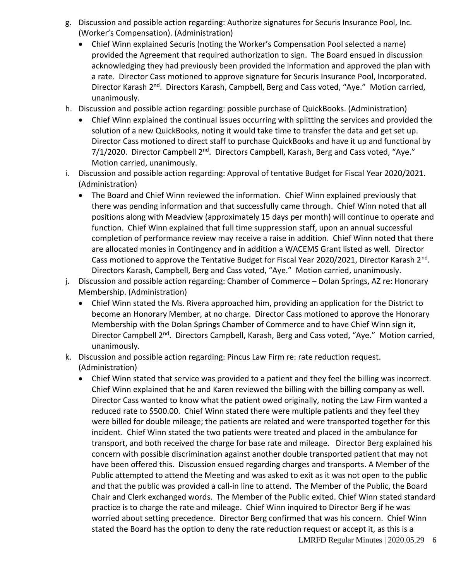- g. Discussion and possible action regarding: Authorize signatures for Securis Insurance Pool, Inc. (Worker's Compensation). (Administration)
	- Chief Winn explained Securis (noting the Worker's Compensation Pool selected a name) provided the Agreement that required authorization to sign. The Board ensued in discussion acknowledging they had previously been provided the information and approved the plan with a rate. Director Cass motioned to approve signature for Securis Insurance Pool, Incorporated. Director Karash 2<sup>nd</sup>. Directors Karash, Campbell, Berg and Cass voted, "Aye." Motion carried, unanimously.
- h. Discussion and possible action regarding: possible purchase of QuickBooks. (Administration)
	- Chief Winn explained the continual issues occurring with splitting the services and provided the solution of a new QuickBooks, noting it would take time to transfer the data and get set up. Director Cass motioned to direct staff to purchase QuickBooks and have it up and functional by  $7/1/2020$ . Director Campbell  $2<sup>nd</sup>$ . Directors Campbell, Karash, Berg and Cass voted, "Aye." Motion carried, unanimously.
- i. Discussion and possible action regarding: Approval of tentative Budget for Fiscal Year 2020/2021. (Administration)
	- The Board and Chief Winn reviewed the information. Chief Winn explained previously that there was pending information and that successfully came through. Chief Winn noted that all positions along with Meadview (approximately 15 days per month) will continue to operate and function. Chief Winn explained that full time suppression staff, upon an annual successful completion of performance review may receive a raise in addition. Chief Winn noted that there are allocated monies in Contingency and in addition a WACEMS Grant listed as well. Director Cass motioned to approve the Tentative Budget for Fiscal Year 2020/2021, Director Karash 2<sup>nd</sup>. Directors Karash, Campbell, Berg and Cass voted, "Aye." Motion carried, unanimously.
- j. Discussion and possible action regarding: Chamber of Commerce Dolan Springs, AZ re: Honorary Membership. (Administration)
	- Chief Winn stated the Ms. Rivera approached him, providing an application for the District to become an Honorary Member, at no charge. Director Cass motioned to approve the Honorary Membership with the Dolan Springs Chamber of Commerce and to have Chief Winn sign it, Director Campbell 2<sup>nd</sup>. Directors Campbell, Karash, Berg and Cass voted, "Aye." Motion carried, unanimously.
- k. Discussion and possible action regarding: Pincus Law Firm re: rate reduction request. (Administration)
	- Chief Winn stated that service was provided to a patient and they feel the billing was incorrect. Chief Winn explained that he and Karen reviewed the billing with the billing company as well. Director Cass wanted to know what the patient owed originally, noting the Law Firm wanted a reduced rate to \$500.00. Chief Winn stated there were multiple patients and they feel they were billed for double mileage; the patients are related and were transported together for this incident. Chief Winn stated the two patients were treated and placed in the ambulance for transport, and both received the charge for base rate and mileage. Director Berg explained his concern with possible discrimination against another double transported patient that may not have been offered this. Discussion ensued regarding charges and transports. A Member of the Public attempted to attend the Meeting and was asked to exit as it was not open to the public and that the public was provided a call-in line to attend. The Member of the Public, the Board Chair and Clerk exchanged words. The Member of the Public exited. Chief Winn stated standard practice is to charge the rate and mileage. Chief Winn inquired to Director Berg if he was worried about setting precedence. Director Berg confirmed that was his concern. Chief Winn stated the Board has the option to deny the rate reduction request or accept it, as this is a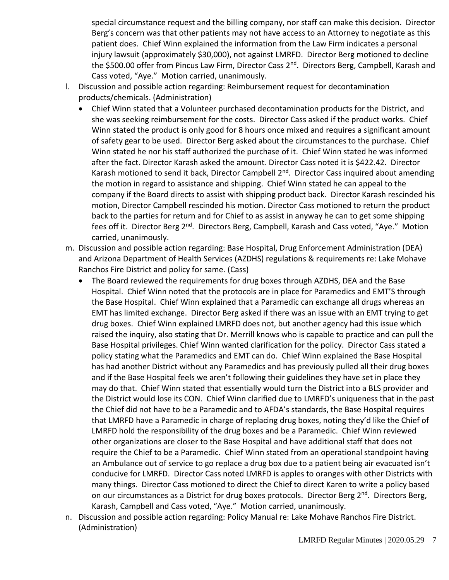special circumstance request and the billing company, nor staff can make this decision. Director Berg's concern was that other patients may not have access to an Attorney to negotiate as this patient does. Chief Winn explained the information from the Law Firm indicates a personal injury lawsuit (approximately \$30,000), not against LMRFD. Director Berg motioned to decline the \$500.00 offer from Pincus Law Firm, Director Cass 2<sup>nd</sup>. Directors Berg, Campbell, Karash and Cass voted, "Aye." Motion carried, unanimously.

- l. Discussion and possible action regarding: Reimbursement request for decontamination products/chemicals. (Administration)
	- Chief Winn stated that a Volunteer purchased decontamination products for the District, and she was seeking reimbursement for the costs. Director Cass asked if the product works. Chief Winn stated the product is only good for 8 hours once mixed and requires a significant amount of safety gear to be used. Director Berg asked about the circumstances to the purchase. Chief Winn stated he nor his staff authorized the purchase of it. Chief Winn stated he was informed after the fact. Director Karash asked the amount. Director Cass noted it is \$422.42. Director Karash motioned to send it back, Director Campbell 2<sup>nd</sup>. Director Cass inquired about amending the motion in regard to assistance and shipping. Chief Winn stated he can appeal to the company if the Board directs to assist with shipping product back. Director Karash rescinded his motion, Director Campbell rescinded his motion. Director Cass motioned to return the product back to the parties for return and for Chief to as assist in anyway he can to get some shipping fees off it. Director Berg 2<sup>nd</sup>. Directors Berg, Campbell, Karash and Cass voted, "Aye." Motion carried, unanimously.
- m. Discussion and possible action regarding: Base Hospital, Drug Enforcement Administration (DEA) and Arizona Department of Health Services (AZDHS) regulations & requirements re: Lake Mohave Ranchos Fire District and policy for same. (Cass)
	- The Board reviewed the requirements for drug boxes through AZDHS, DEA and the Base Hospital. Chief Winn noted that the protocols are in place for Paramedics and EMT'S through the Base Hospital. Chief Winn explained that a Paramedic can exchange all drugs whereas an EMT has limited exchange. Director Berg asked if there was an issue with an EMT trying to get drug boxes. Chief Winn explained LMRFD does not, but another agency had this issue which raised the inquiry, also stating that Dr. Merrill knows who is capable to practice and can pull the Base Hospital privileges. Chief Winn wanted clarification for the policy. Director Cass stated a policy stating what the Paramedics and EMT can do. Chief Winn explained the Base Hospital has had another District without any Paramedics and has previously pulled all their drug boxes and if the Base Hospital feels we aren't following their guidelines they have set in place they may do that. Chief Winn stated that essentially would turn the District into a BLS provider and the District would lose its CON. Chief Winn clarified due to LMRFD's uniqueness that in the past the Chief did not have to be a Paramedic and to AFDA's standards, the Base Hospital requires that LMRFD have a Paramedic in charge of replacing drug boxes, noting they'd like the Chief of LMRFD hold the responsibility of the drug boxes and be a Paramedic. Chief Winn reviewed other organizations are closer to the Base Hospital and have additional staff that does not require the Chief to be a Paramedic. Chief Winn stated from an operational standpoint having an Ambulance out of service to go replace a drug box due to a patient being air evacuated isn't conducive for LMRFD. Director Cass noted LMRFD is apples to oranges with other Districts with many things. Director Cass motioned to direct the Chief to direct Karen to write a policy based on our circumstances as a District for drug boxes protocols. Director Berg 2<sup>nd</sup>. Directors Berg, Karash, Campbell and Cass voted, "Aye." Motion carried, unanimously.
- n. Discussion and possible action regarding: Policy Manual re: Lake Mohave Ranchos Fire District. (Administration)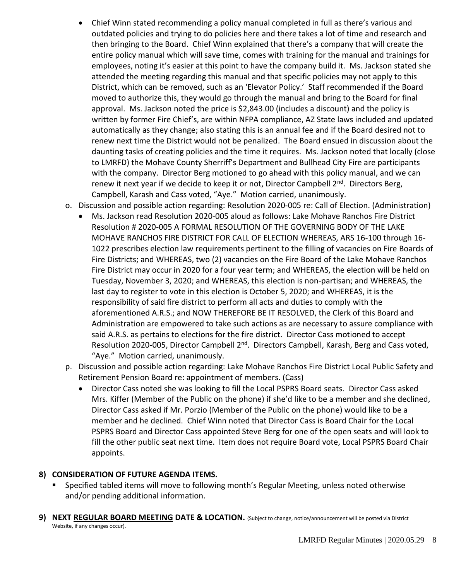- Chief Winn stated recommending a policy manual completed in full as there's various and outdated policies and trying to do policies here and there takes a lot of time and research and then bringing to the Board. Chief Winn explained that there's a company that will create the entire policy manual which will save time, comes with training for the manual and trainings for employees, noting it's easier at this point to have the company build it. Ms. Jackson stated she attended the meeting regarding this manual and that specific policies may not apply to this District, which can be removed, such as an 'Elevator Policy.' Staff recommended if the Board moved to authorize this, they would go through the manual and bring to the Board for final approval. Ms. Jackson noted the price is \$2,843.00 (includes a discount) and the policy is written by former Fire Chief's, are within NFPA compliance, AZ State laws included and updated automatically as they change; also stating this is an annual fee and if the Board desired not to renew next time the District would not be penalized. The Board ensued in discussion about the daunting tasks of creating policies and the time it requires. Ms. Jackson noted that locally (close to LMRFD) the Mohave County Sherriff's Department and Bullhead City Fire are participants with the company. Director Berg motioned to go ahead with this policy manual, and we can renew it next year if we decide to keep it or not, Director Campbell 2<sup>nd</sup>. Directors Berg, Campbell, Karash and Cass voted, "Aye." Motion carried, unanimously.
- o. Discussion and possible action regarding: Resolution 2020-005 re: Call of Election. (Administration)
	- Ms. Jackson read Resolution 2020-005 aloud as follows: Lake Mohave Ranchos Fire District Resolution # 2020-005 A FORMAL RESOLUTION OF THE GOVERNING BODY OF THE LAKE MOHAVE RANCHOS FIRE DISTRICT FOR CALL OF ELECTION WHEREAS, ARS 16-100 through 16- 1022 prescribes election law requirements pertinent to the filling of vacancies on Fire Boards of Fire Districts; and WHEREAS, two (2) vacancies on the Fire Board of the Lake Mohave Ranchos Fire District may occur in 2020 for a four year term; and WHEREAS, the election will be held on Tuesday, November 3, 2020; and WHEREAS, this election is non-partisan; and WHEREAS, the last day to register to vote in this election is October 5, 2020; and WHEREAS, it is the responsibility of said fire district to perform all acts and duties to comply with the aforementioned A.R.S.; and NOW THEREFORE BE IT RESOLVED, the Clerk of this Board and Administration are empowered to take such actions as are necessary to assure compliance with said A.R.S. as pertains to elections for the fire district. Director Cass motioned to accept Resolution 2020-005, Director Campbell 2<sup>nd</sup>. Directors Campbell, Karash, Berg and Cass voted, "Aye." Motion carried, unanimously.
- p. Discussion and possible action regarding: Lake Mohave Ranchos Fire District Local Public Safety and Retirement Pension Board re: appointment of members. (Cass)
	- Director Cass noted she was looking to fill the Local PSPRS Board seats. Director Cass asked Mrs. Kiffer (Member of the Public on the phone) if she'd like to be a member and she declined, Director Cass asked if Mr. Porzio (Member of the Public on the phone) would like to be a member and he declined. Chief Winn noted that Director Cass is Board Chair for the Local PSPRS Board and Director Cass appointed Steve Berg for one of the open seats and will look to fill the other public seat next time. Item does not require Board vote, Local PSPRS Board Chair appoints.

#### **8) CONSIDERATION OF FUTURE AGENDA ITEMS.**

- Specified tabled items will move to following month's Regular Meeting, unless noted otherwise and/or pending additional information.
- **9) NEXT REGULAR BOARD MEETING DATE & LOCATION.** (Subject to change, notice/announcement will be posted via District Website, if any changes occur).